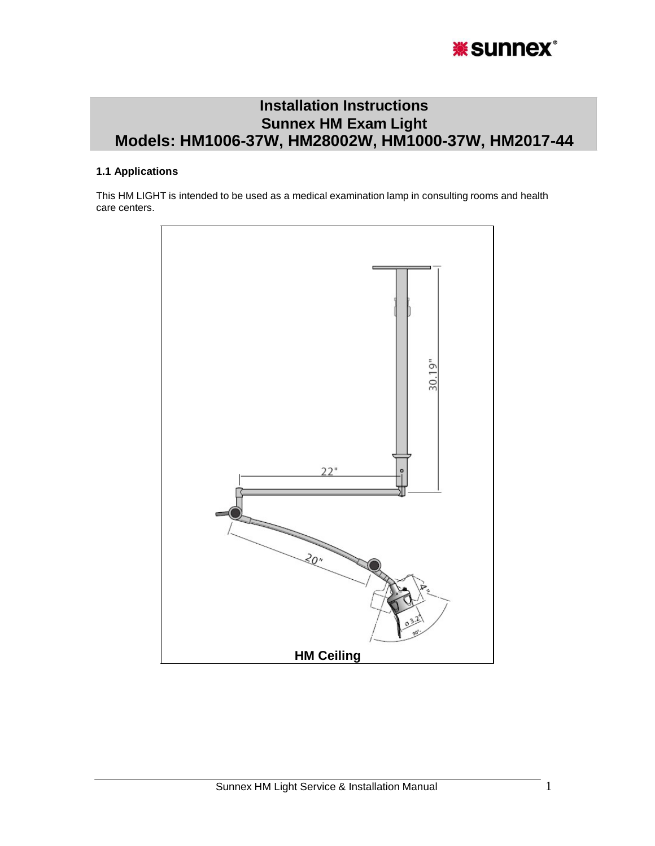

# **Installation Instructions Sunnex HM Exam Light Models: HM1006-37W, HM28002W, HM1000-37W, HM2017-44**

## **1.1 Applications**

This HM LIGHT is intended to be used as a medical examination lamp in consulting rooms and health care centers.

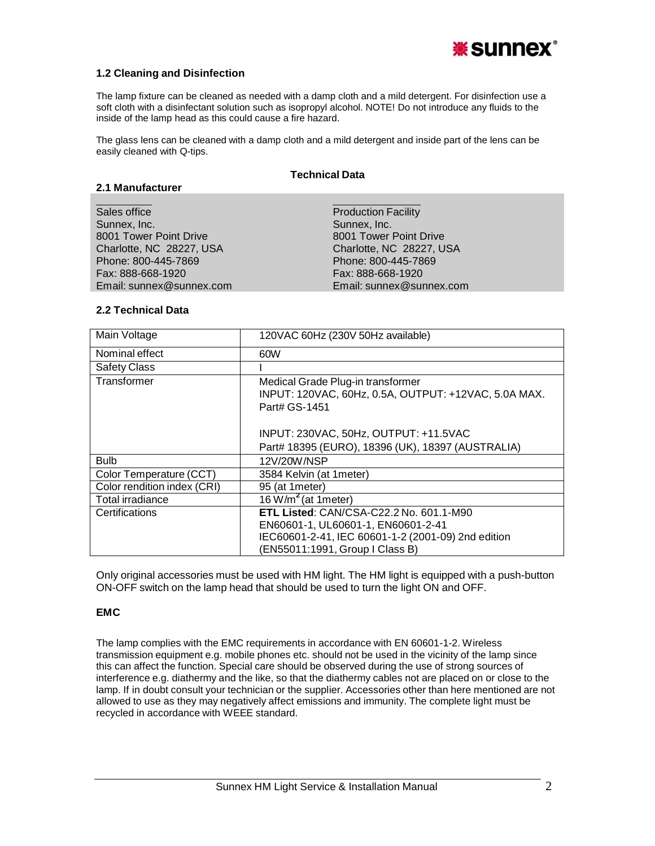

### **1.2 Cleaning and Disinfection**

The lamp fixture can be cleaned as needed with a damp cloth and a mild detergent. For disinfection use a soft cloth with a disinfectant solution such as isopropyl alcohol. NOTE! Do not introduce any fluids to the inside of the lamp head as this could cause a fire hazard.

The glass lens can be cleaned with a damp cloth and a mild detergent and inside part of the lens can be easily cleaned with Q-tips.

#### **Technical Data**

### **2.1 Manufacturer**

| Sales office             | <b>Production Facility</b> |
|--------------------------|----------------------------|
| Sunnex, Inc.             | Sunnex, Inc.               |
| 8001 Tower Point Drive   | 8001 Tower Point Drive     |
| Charlotte, NC 28227, USA | Charlotte, NC 28227, USA   |
| Phone: 800-445-7869      | Phone: 800-445-7869        |
| Fax: 888-668-1920        | Fax: 888-668-1920          |
| Email: sunnex@sunnex.com | Email: sunnex@sunnex.com   |
|                          |                            |

### **2.2 Technical Data**

| Main Voltage                | 120VAC 60Hz (230V 50Hz available)                                                                          |  |
|-----------------------------|------------------------------------------------------------------------------------------------------------|--|
| Nominal effect              | 60W                                                                                                        |  |
| <b>Safety Class</b>         |                                                                                                            |  |
| Transformer                 | Medical Grade Plug-in transformer<br>INPUT: 120VAC, 60Hz, 0.5A, OUTPUT: +12VAC, 5.0A MAX.<br>Part# GS-1451 |  |
|                             | INPUT: 230VAC, 50Hz, OUTPUT: +11.5VAC                                                                      |  |
|                             | Part# 18395 (EURO), 18396 (UK), 18397 (AUSTRALIA)                                                          |  |
| <b>Bulb</b>                 | 12V/20W/NSP                                                                                                |  |
| Color Temperature (CCT)     | 3584 Kelvin (at 1meter)                                                                                    |  |
| Color rendition index (CRI) | 95 (at 1 meter)                                                                                            |  |
| Total irradiance            | 16 W/m <sup>2</sup> (at 1meter)                                                                            |  |
| Certifications              | <b>ETL Listed: CAN/CSA-C22.2 No. 601.1-M90</b>                                                             |  |
|                             | EN60601-1, UL60601-1, EN60601-2-41                                                                         |  |
|                             | IEC60601-2-41, IEC 60601-1-2 (2001-09) 2nd edition<br>(EN55011:1991, Group I Class B)                      |  |

Only original accessories must be used with HM light. The HM light is equipped with a push-button ON-OFF switch on the lamp head that should be used to turn the light ON and OFF.

### **EMC**

The lamp complies with the EMC requirements in accordance with EN 60601-1-2. Wireless transmission equipment e.g. mobile phones etc. should not be used in the vicinity of the lamp since this can affect the function. Special care should be observed during the use of strong sources of interference e.g. diathermy and the like, so that the diathermy cables not are placed on or close to the lamp. If in doubt consult your technician or the supplier. Accessories other than here mentioned are not allowed to use as they may negatively affect emissions and immunity. The complete light must be recycled in accordance with WEEE standard.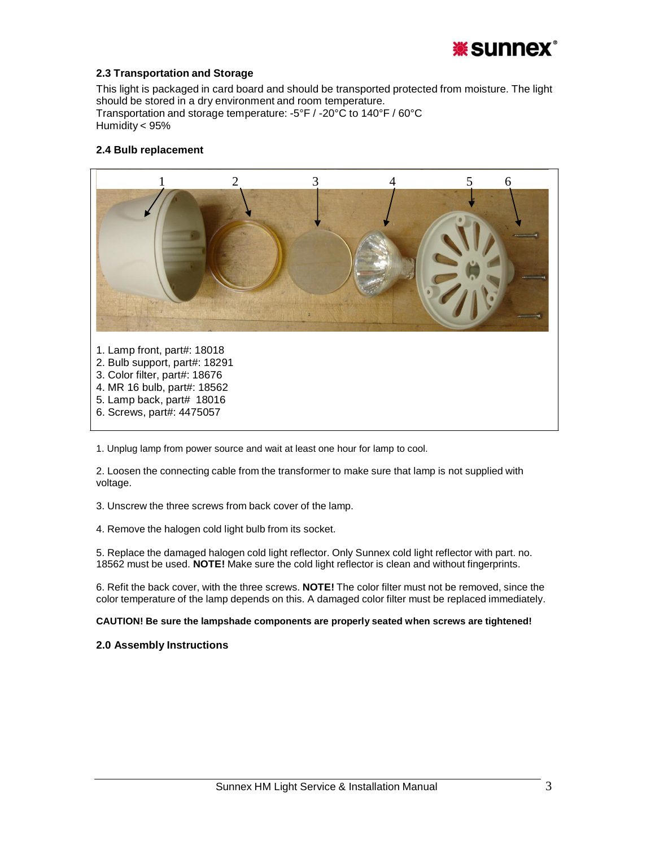

### **2.3 Transportation and Storage**

This light is packaged in card board and should be transported protected from moisture. The light should be stored in a dry environment and room temperature. Transportation and storage temperature: -5°F / -20°C to 140°F / 60°C Humidity < 95%

### **2.4 Bulb replacement**



1. Unplug lamp from power source and wait at least one hour for lamp to cool.

2. Loosen the connecting cable from the transformer to make sure that lamp is not supplied with voltage.

3. Unscrew the three screws from back cover of the lamp.

4. Remove the halogen cold light bulb from its socket.

5. Replace the damaged halogen cold light reflector. Only Sunnex cold light reflector with part. no. 18562 must be used. **NOTE!** Make sure the cold light reflector is clean and without fingerprints.

6. Refit the back cover, with the three screws. **NOTE!** The color filter must not be removed, since the color temperature of the lamp depends on this. A damaged color filter must be replaced immediately.

**CAUTION! Be sure the lampshade components are properly seated when screws are tightened!**

### **2.0 Assembly Instructions**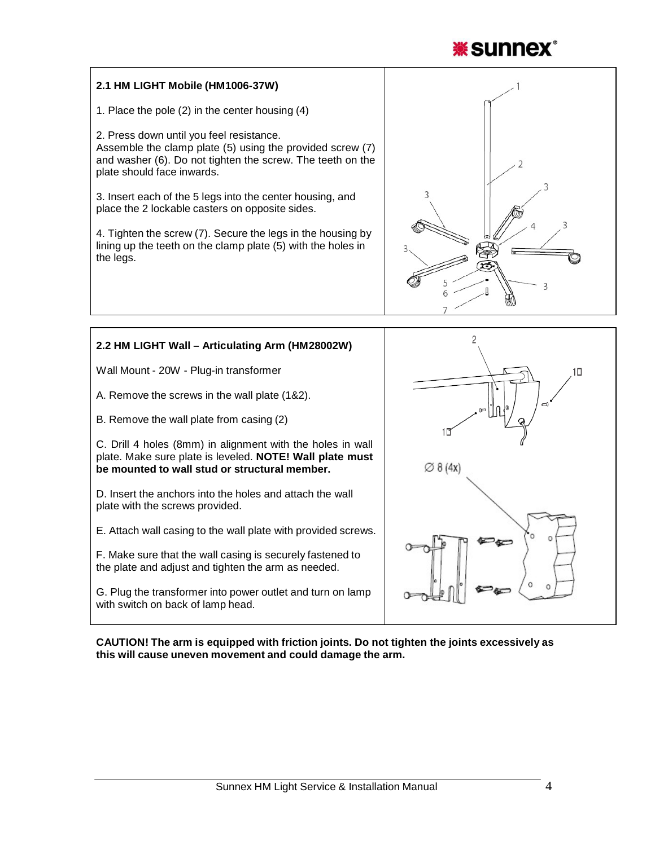

# **2.1 HM LIGHT Mobile (HM1006-37W)**

1. Place the pole (2) in the center housing (4)

2. Press down until you feel resistance. Assemble the clamp plate (5) using the provided screw (7) and washer (6). Do not tighten the screw. The teeth on the plate should face inwards.

3. Insert each of the 5 legs into the center housing, and place the 2 lockable casters on opposite sides.

4. Tighten the screw (7). Secure the legs in the housing by lining up the teeth on the clamp plate (5) with the holes in the legs.





**CAUTION! The arm is equipped with friction joints. Do not tighten the joints excessively as this will cause uneven movement and could damage the arm.**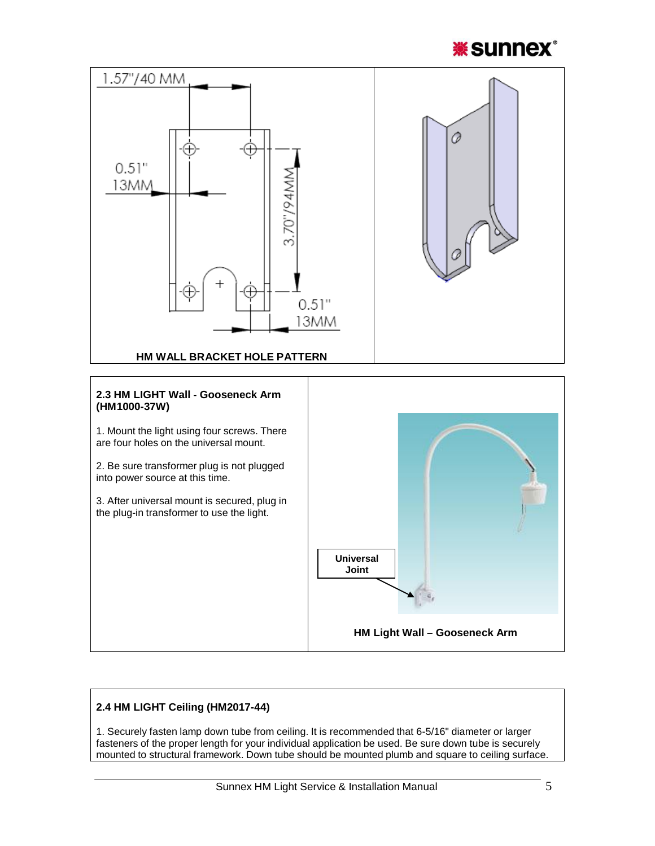



# **2.4 HM LIGHT Ceiling (HM2017-44)**

1. Securely fasten lamp down tube from ceiling. It is recommended that 6-5/16" diameter or larger fasteners of the proper length for your individual application be used. Be sure down tube is securely mounted to structural framework. Down tube should be mounted plumb and square to ceiling surface.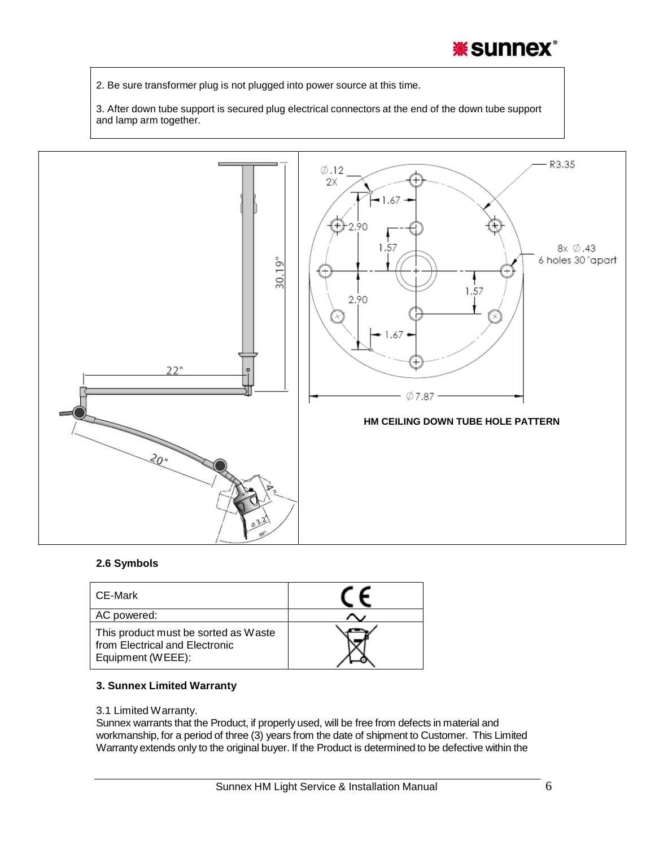# **\*sunnex\***

2. Be sure transformer plug is not plugged into power source at this time.

3. After down tube support is secured plug electrical connectors at the end of the down tube support and lamp arm together.



### **2.6 Symbols**

| CE-Mark                                                                                     |  |
|---------------------------------------------------------------------------------------------|--|
| AC powered:                                                                                 |  |
| This product must be sorted as Waste<br>from Electrical and Electronic<br>Equipment (WEEE): |  |

### **3. Sunnex Limited Warranty**

### 3.1 Limited Warranty.

Sunnex warrants that the Product, if properly used, will be free from defects in material and workmanship, for a period of three (3) years from the date of shipment to Customer. This Limited Warranty extends only to the original buyer. If the Product is determined to be defective within the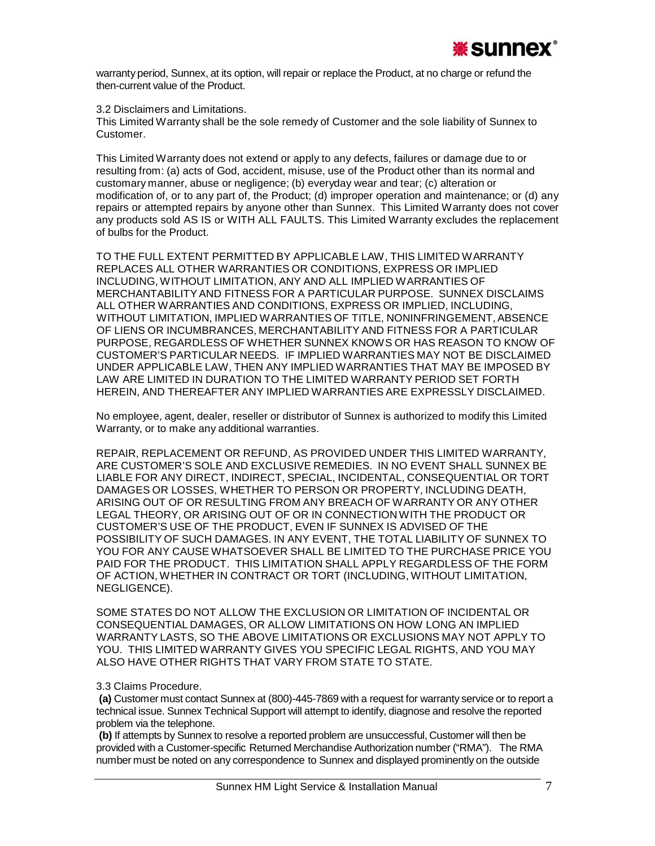

warranty period, Sunnex, at its option, will repair or replace the Product, at no charge or refund the then-current value of the Product.

3.2 Disclaimers and Limitations.

This Limited Warranty shall be the sole remedy of Customer and the sole liability of Sunnex to Customer.

This Limited Warranty does not extend or apply to any defects, failures or damage due to or resulting from: (a) acts of God, accident, misuse, use of the Product other than its normal and customary manner, abuse or negligence; (b) everyday wear and tear; (c) alteration or modification of, or to any part of, the Product; (d) improper operation and maintenance; or (d) any repairs or attempted repairs by anyone other than Sunnex. This Limited Warranty does not cover any products sold AS IS or WITH ALL FAULTS. This Limited Warranty excludes the replacement of bulbs for the Product.

TO THE FULL EXTENT PERMITTED BY APPLICABLE LAW, THIS LIMITED WARRANTY REPLACES ALL OTHER WARRANTIES OR CONDITIONS, EXPRESS OR IMPLIED INCLUDING, WITHOUT LIMITATION, ANY AND ALL IMPLIED WARRANTIES OF MERCHANTABILITYAND FITNESS FOR A PARTICULAR PURPOSE. SUNNEX DISCLAIMS ALL OTHER WARRANTIES AND CONDITIONS, EXPRESS OR IMPLIED, INCLUDING, WITHOUT LIMITATION, IMPLIED WARRANTIES OF TITLE, NONINFRINGEMENT, ABSENCE OF LIENS OR INCUMBRANCES, MERCHANTABILITY AND FITNESS FOR A PARTICULAR PURPOSE, REGARDLESS OF WHETHER SUNNEX KNOWS OR HAS REASON TO KNOW OF CUSTOMER'S PARTICULAR NEEDS. IF IMPLIED WARRANTIES MAY NOT BE DISCLAIMED UNDER APPLICABLE LAW, THEN ANY IMPLIED WARRANTIES THAT MAY BE IMPOSED BY LAW ARE LIMITED IN DURATION TO THE LIMITED WARRANTY PERIOD SET FORTH HEREIN, AND THEREAFTER ANY IMPLIED WARRANTIES ARE EXPRESSLY DISCLAIMED.

No employee, agent, dealer, reseller or distributor of Sunnex is authorized to modify this Limited Warranty, or to make any additional warranties.

REPAIR, REPLACEMENT OR REFUND, AS PROVIDED UNDER THIS LIMITED WARRANTY, ARE CUSTOMER'S SOLE AND EXCLUSIVE REMEDIES. IN NO EVENT SHALL SUNNEX BE LIABLE FOR ANY DIRECT, INDIRECT, SPECIAL, INCIDENTAL, CONSEQUENTIAL OR TORT DAMAGES OR LOSSES, WHETHER TO PERSON OR PROPERTY, INCLUDING DEATH, ARISING OUT OF OR RESULTING FROM ANY BREACH OF WARRANTY OR ANY OTHER LEGAL THEORY, OR ARISING OUT OF OR IN CONNECTION WITH THE PRODUCT OR CUSTOMER'S USE OF THE PRODUCT, EVEN IF SUNNEX IS ADVISED OF THE POSSIBILITY OF SUCH DAMAGES. IN ANY EVENT, THE TOTAL LIABILITY OF SUNNEX TO YOU FOR ANY CAUSE WHATSOEVER SHALL BE LIMITED TO THE PURCHASE PRICE YOU PAID FOR THE PRODUCT. THIS LIMITATION SHALL APPLY REGARDLESS OF THE FORM OF ACTION, WHETHER IN CONTRACT OR TORT (INCLUDING, WITHOUT LIMITATION, NEGLIGENCE).

SOME STATES DO NOT ALLOW THE EXCLUSION OR LIMITATION OF INCIDENTAL OR CONSEQUENTIAL DAMAGES, OR ALLOW LIMITATIONS ON HOW LONG AN IMPLIED WARRANTY LASTS, SO THE ABOVE LIMITATIONS OR EXCLUSIONS MAY NOT APPLY TO YOU. THIS LIMITED WARRANTY GIVES YOU SPECIFIC LEGAL RIGHTS, AND YOU MAY ALSO HAVE OTHER RIGHTS THAT VARY FROM STATE TO STATE.

### 3.3 Claims Procedure.

**(a)** Customer must contact Sunnex at (800)-445-7869 with a request for warranty service or to report a technical issue. Sunnex Technical Support will attempt to identify, diagnose and resolve the reported problem via the telephone.

**(b)** If attempts by Sunnex to resolve a reported problem are unsuccessful, Customer will then be provided with a Customer-specific Returned Merchandise Authorization number ("RMA"). The RMA number must be noted on any correspondence to Sunnex and displayed prominently on the outside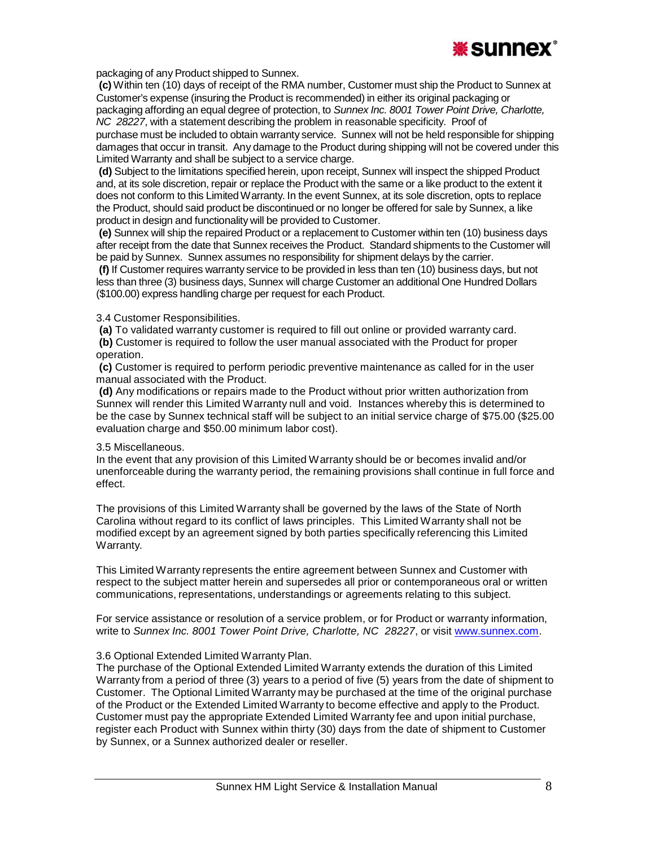

packaging of any Product shipped to Sunnex.

**(c)** Within ten (10) days of receipt of the RMA number, Customer must ship the Product to Sunnex at Customer's expense (insuring the Product is recommended) in either its original packaging or packaging affording an equal degree of protection, to *Sunnex Inc. 8001 Tower Point Drive, Charlotte, NC 28227*, with a statement describing the problem in reasonable specificity. Proof of

purchase must be included to obtain warranty service. Sunnex will not be held responsible for shipping damages that occur in transit. Any damage to the Product during shipping will not be covered under this Limited Warranty and shall be subject to a service charge.

**(d)** Subject to the limitations specified herein, upon receipt, Sunnex will inspect the shipped Product and, at its sole discretion, repair or replace the Product with the same or a like product to the extent it does not conform to this LimitedWarranty. In the event Sunnex, at its sole discretion, opts to replace the Product, should said product be discontinued or no longer be offered for sale by Sunnex, a like product in design and functionality will be provided to Customer.

**(e)** Sunnex will ship the repaired Product or a replacement to Customer within ten (10) business days after receipt from the date that Sunnex receives the Product. Standard shipments to the Customer will be paid by Sunnex. Sunnex assumes no responsibility for shipment delays by the carrier.

**(f)** If Customer requires warranty service to be provided in less than ten (10) business days, but not less than three (3) business days, Sunnex will charge Customer an additional One Hundred Dollars (\$100.00) express handling charge per request for each Product.

### 3.4 Customer Responsibilities.

**(a)** To validated warranty customer is required to fill out online or provided warranty card.

**(b)** Customer is required to follow the user manual associated with the Product for proper operation.

**(c)** Customer is required to perform periodic preventive maintenance as called for in the user manual associated with the Product.

**(d)** Any modifications or repairs made to the Product without prior written authorization from Sunnex will render this Limited Warranty null and void. Instances whereby this is determined to be the case by Sunnex technical staff will be subject to an initial service charge of \$75.00 (\$25.00 evaluation charge and \$50.00 minimum labor cost).

### 3.5 Miscellaneous.

In the event that any provision of this Limited Warranty should be or becomes invalid and/or unenforceable during the warranty period, the remaining provisions shall continue in full force and effect.

The provisions of this Limited Warranty shall be governed by the laws of the State of North Carolina without regard to its conflict of laws principles. This Limited Warranty shall not be modified except by an agreement signed by both parties specifically referencing this Limited Warranty.

This Limited Warranty represents the entire agreement between Sunnex and Customer with respect to the subject matter herein and supersedes all prior or contemporaneous oral or written communications, representations, understandings or agreements relating to this subject.

For service assistance or resolution of a service problem, or for Product or warranty information, write to *Sunnex Inc. 8001 Tower Point Drive, Charlotte, NC 28227*, or visit [www.sunnex.com.](http://www.sunnex.com/)

### 3.6 Optional Extended Limited Warranty Plan.

The purchase of the Optional Extended Limited Warranty extends the duration of this Limited Warranty from a period of three (3) years to a period of five (5) years from the date of shipment to Customer. The Optional Limited Warranty may be purchased at the time of the original purchase of the Product or the Extended Limited Warranty to become effective and apply to the Product. Customer must pay the appropriate Extended Limited Warranty fee and upon initial purchase, register each Product with Sunnex within thirty (30) days from the date of shipment to Customer by Sunnex, or a Sunnex authorized dealer or reseller.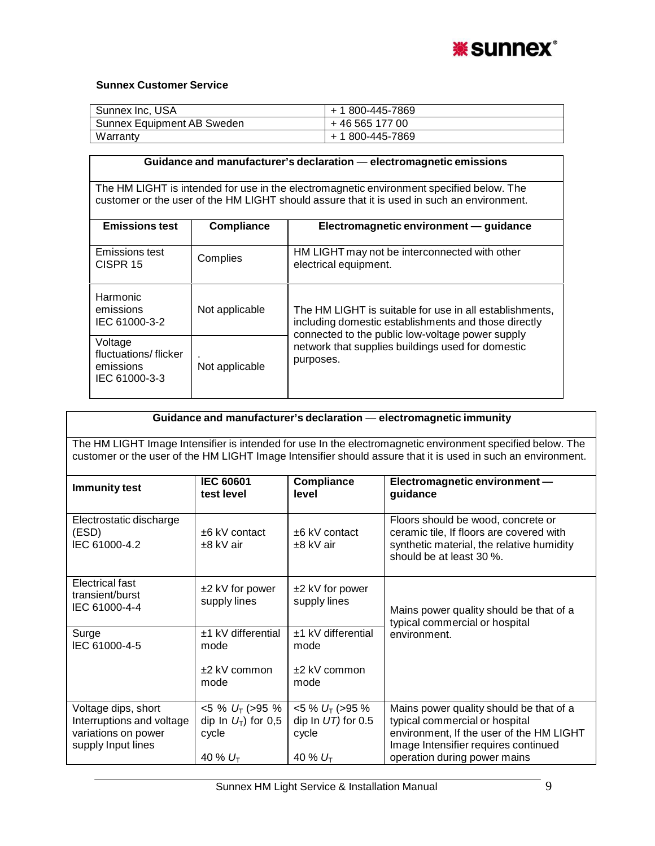

# **Sunnex Customer Service**

| Sunnex Inc, USA            | + 1 800-445-7869 |
|----------------------------|------------------|
| Sunnex Equipment AB Sweden | +46 565 177 00   |
| Warranty                   | + 1 800-445-7869 |

| Guidance and manufacturer's declaration - electromagnetic emissions                  |                                                                                          |                                                                                                                                                                     |  |  |  |
|--------------------------------------------------------------------------------------|------------------------------------------------------------------------------------------|---------------------------------------------------------------------------------------------------------------------------------------------------------------------|--|--|--|
|                                                                                      | The HM LIGHT is intended for use in the electromagnetic environment specified below. The |                                                                                                                                                                     |  |  |  |
|                                                                                      |                                                                                          | customer or the user of the HM LIGHT should assure that it is used in such an environment.                                                                          |  |  |  |
| <b>Emissions test</b><br>Electromagnetic environment - guidance<br><b>Compliance</b> |                                                                                          |                                                                                                                                                                     |  |  |  |
| Emissions test<br>CISPR <sub>15</sub>                                                | Complies                                                                                 | HM LIGHT may not be interconnected with other<br>electrical equipment.                                                                                              |  |  |  |
| Harmonic<br>emissions<br>IEC 61000-3-2                                               | Not applicable                                                                           | The HM LIGHT is suitable for use in all establishments,<br>including domestic establishments and those directly<br>connected to the public low-voltage power supply |  |  |  |
| Voltage<br>fluctuations/flicker<br>emissions<br>IEC 61000-3-3                        | Not applicable                                                                           | network that supplies buildings used for domestic<br>purposes.                                                                                                      |  |  |  |

| Guidance and manufacturer's declaration - electromagnetic immunity                                                                                                                                                         |                                                                       |                                                                       |                                                                                                                                                                                               |  |  |
|----------------------------------------------------------------------------------------------------------------------------------------------------------------------------------------------------------------------------|-----------------------------------------------------------------------|-----------------------------------------------------------------------|-----------------------------------------------------------------------------------------------------------------------------------------------------------------------------------------------|--|--|
| The HM LIGHT Image Intensifier is intended for use In the electromagnetic environment specified below. The<br>customer or the user of the HM LIGHT Image Intensifier should assure that it is used in such an environment. |                                                                       |                                                                       |                                                                                                                                                                                               |  |  |
| <b>Immunity test</b>                                                                                                                                                                                                       | <b>IEC 60601</b><br>test level                                        | Electromagnetic environment-<br>guidance                              |                                                                                                                                                                                               |  |  |
| Electrostatic discharge<br>(ESD)<br>IEC 61000-4.2                                                                                                                                                                          | $+6$ kV contact<br>$±8$ kV air                                        | $+6$ kV contact<br>$±8$ kV air                                        | Floors should be wood, concrete or<br>ceramic tile, If floors are covered with<br>synthetic material, the relative humidity<br>should be at least 30 %.                                       |  |  |
| Electrical fast<br>transient/burst<br>IEC 61000-4-4                                                                                                                                                                        | $±2$ kV for power<br>supply lines                                     | $±2$ kV for power<br>supply lines                                     | Mains power quality should be that of a<br>typical commercial or hospital                                                                                                                     |  |  |
| Surge<br>IEC 61000-4-5                                                                                                                                                                                                     | $±1$ kV differential<br>mode<br>$±2$ kV common<br>mode                | ±1 kV differential<br>mode<br>$±2$ kV common<br>mode                  | environment.                                                                                                                                                                                  |  |  |
| Voltage dips, short<br>Interruptions and voltage<br>variations on power<br>supply Input lines                                                                                                                              | $<$ 5 % $U_T$ (>95 %<br>dip In $U_T$ ) for 0,5<br>cycle<br>40 % $U_T$ | $<$ 5 % $U_T$ (> 95 %<br>dip In $UT$ ) for 0.5<br>cycle<br>40 % $U_T$ | Mains power quality should be that of a<br>typical commercial or hospital<br>environment, If the user of the HM LIGHT<br>Image Intensifier requires continued<br>operation during power mains |  |  |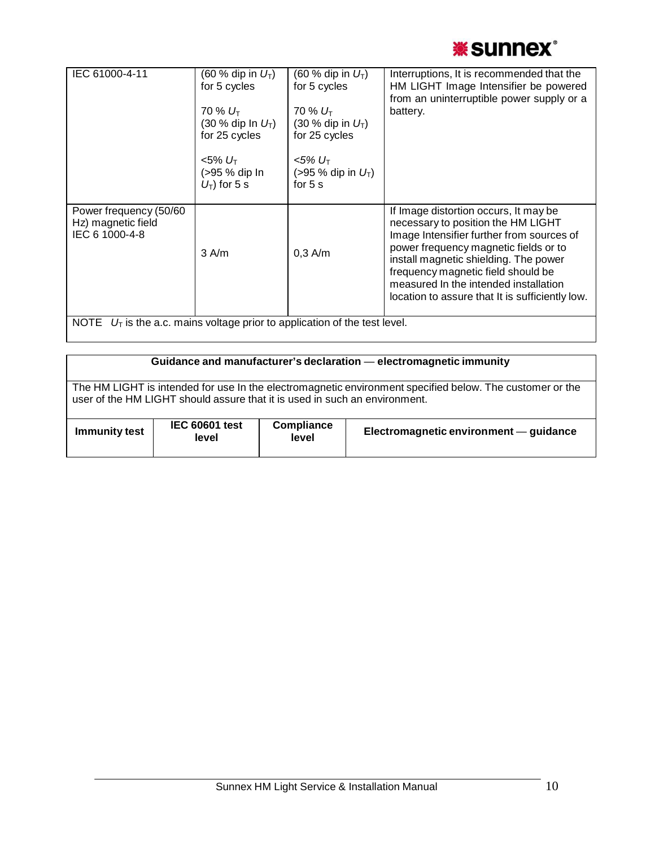

| IEC 61000-4-11                                                               | $(60 %$ dip in $U_T$ )<br>for 5 cycles<br>$70\% U_{\rm T}$<br>$(30 %$ dip In $U_T$ )<br>for 25 cycles<br><5% U <sub>T</sub><br>(>95 % dip In<br>$U_T$ ) for 5 s | $(60 %$ dip in $U_T$ )<br>for 5 cycles<br>$70\%~U_{\text{T}}$<br>$(30 %$ dip in $U_T$ )<br>for 25 cycles<br>$< 5\% U_T$<br>$( > 95 %$ dip in $U_T$ )<br>for $5s$ | Interruptions, It is recommended that the<br>HM LIGHT Image Intensifier be powered<br>from an uninterruptible power supply or a<br>battery.                                                                                                                                                                                                  |  |
|------------------------------------------------------------------------------|-----------------------------------------------------------------------------------------------------------------------------------------------------------------|------------------------------------------------------------------------------------------------------------------------------------------------------------------|----------------------------------------------------------------------------------------------------------------------------------------------------------------------------------------------------------------------------------------------------------------------------------------------------------------------------------------------|--|
| Power frequency (50/60<br>Hz) magnetic field<br>IEC 6 1000-4-8               | $3$ A/m                                                                                                                                                         | $0,3$ A/m                                                                                                                                                        | If Image distortion occurs, It may be<br>necessary to position the HM LIGHT<br>Image Intensifier further from sources of<br>power frequency magnetic fields or to<br>install magnetic shielding. The power<br>frequency magnetic field should be<br>measured In the intended installation<br>location to assure that It is sufficiently low. |  |
| NOTE $U_T$ is the a.c. mains voltage prior to application of the test level. |                                                                                                                                                                 |                                                                                                                                                                  |                                                                                                                                                                                                                                                                                                                                              |  |

| Guidance and manufacturer's declaration - electromagnetic immunity                                                                                                                     |  |  |  |  |  |
|----------------------------------------------------------------------------------------------------------------------------------------------------------------------------------------|--|--|--|--|--|
| The HM LIGHT is intended for use In the electromagnetic environment specified below. The customer or the<br>user of the HM LIGHT should assure that it is used in such an environment. |  |  |  |  |  |
|                                                                                                                                                                                        |  |  |  |  |  |
| <b>IEC 60601 test</b><br>Compliance<br>Electromagnetic environment - guidance<br><b>Immunity test</b><br>level<br>level                                                                |  |  |  |  |  |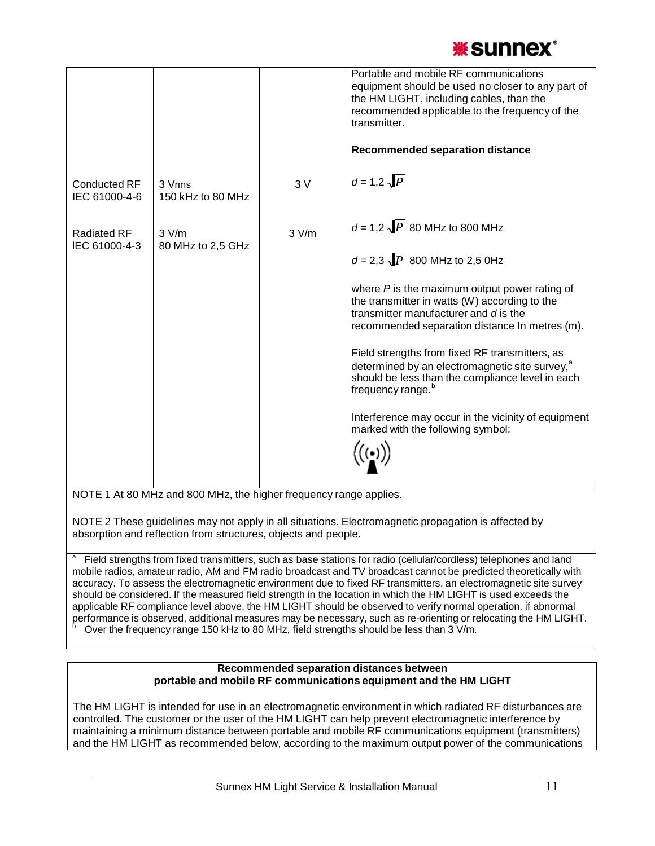

|                                      |                             |       | Portable and mobile RF communications<br>equipment should be used no closer to any part of<br>the HM LIGHT, including cables, than the<br>recommended applicable to the frequency of the<br>transmitter. |
|--------------------------------------|-----------------------------|-------|----------------------------------------------------------------------------------------------------------------------------------------------------------------------------------------------------------|
|                                      |                             |       | <b>Recommended separation distance</b>                                                                                                                                                                   |
| <b>Conducted RF</b><br>IEC 61000-4-6 | 3 Vrms<br>150 kHz to 80 MHz | 3V    | $d = 1.2 \sqrt{P}$                                                                                                                                                                                       |
| <b>Radiated RF</b>                   | 3 V/m                       | 3 V/m | $d = 1.2 \sqrt{P}$ 80 MHz to 800 MHz                                                                                                                                                                     |
| IEC 61000-4-3                        | 80 MHz to 2,5 GHz           |       | $d = 2.3 \sqrt{P}$ 800 MHz to 2.5 0Hz                                                                                                                                                                    |
|                                      |                             |       | where $P$ is the maximum output power rating of<br>the transmitter in watts (W) according to the<br>transmitter manufacturer and d is the<br>recommended separation distance In metres (m).              |
|                                      |                             |       | Field strengths from fixed RF transmitters, as<br>determined by an electromagnetic site survey, <sup>a</sup><br>should be less than the compliance level in each<br>frequency range. <sup>b</sup>        |
|                                      |                             |       | Interference may occur in the vicinity of equipment<br>marked with the following symbol:                                                                                                                 |
|                                      |                             |       |                                                                                                                                                                                                          |

NOTE 1 At 80 MHz and 800 MHz, the higher frequency range applies.

NOTE 2 These guidelines may not apply in all situations. Electromagnetic propagation is affected by absorption and reflection from structures, objects and people.

Field strengths from fixed transmitters, such as base stations for radio (cellular/cordless) telephones and land mobile radios, amateur radio, AM and FM radio broadcast and TV broadcast cannot be predicted theoretically with accuracy. To assess the electromagnetic environment due to fixed RF transmitters, an electromagnetic site survey should be considered. If the measured field strength in the location in which the HM LIGHT is used exceeds the applicable RF compliance level above, the HM LIGHT should be observed to verify normal operation. if abnormal performance is observed, additional measures may be necessary, such as re-orienting or relocating the HM LIGHT.<br><sup>b</sup> Over the frequency range 150 kHz to 80 MHz, field strengths should be less than 3 V/m.

### **Recommended separation distances between portable and mobile RF communications equipment and the HM LIGHT**

The HM LIGHT is intended for use in an electromagnetic environment in which radiated RF disturbances are controlled. The customer or the user of the HM LIGHT can help prevent electromagnetic interference by maintaining a minimum distance between portable and mobile RF communications equipment (transmitters) and the HM LIGHT as recommended below, according to the maximum output power of the communications